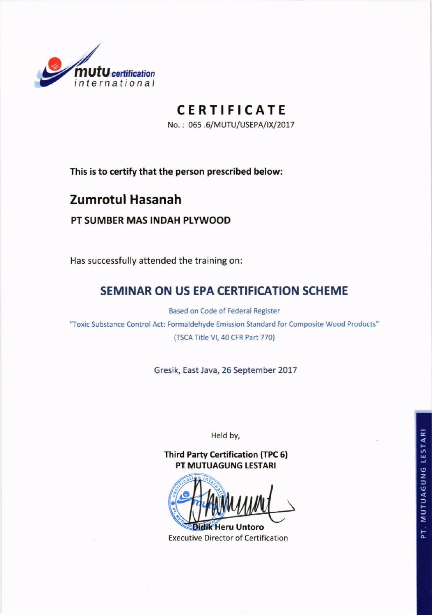

# CERTIFICATE

No.: 065.6/MUTU/USEPA/IX/2017

This is to certify that the person prescribed below:

## **Zumrotul Hasanah**

#### PT SUMBER MAS INDAH PLYWOOD

Has successfully attended the training on:

## SEMINAR ON US EPA CERTIFICATION SCHEME

Based on Code of Federal Register

"Toxic Substance Control Act: Formaldehyde Emission Standard for Composite Wood Products" (TSCA Title VI, 40 CFR Part 770)

Gresik, East Java, 26 September 2017

Held by,

**Third Party Certification (TPC 6) PT MUTUAGUNG LESTARI** 

idik Heru Untoro **Executive Director of Certification**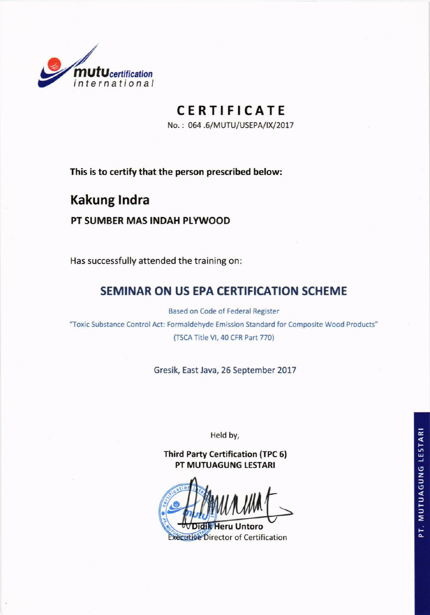

# **CERTIFICATE**

No.: 064.6/MUTU/USEPA/IX/2017

This is to certify that the person prescribed below:

# **Kakung Indra**

#### PT SUMBER MAS INDAH PLYWOOD

Has successfully attended the training on:

## SEMINAR ON US EPA CERTIFICATION SCHEME

Based on Code of Federal Register

"Toxic Substance Control Act: Formaldehyde Emission Standard for Composite Wood Products" (TSCA Title VI, 40 CFR Part 770)

Gresik, East Java, 26 September 2017

Held by,

**Third Party Certification (TPC 6)** PT MUTUAGUNG LESTARI

Executive Director of Certification